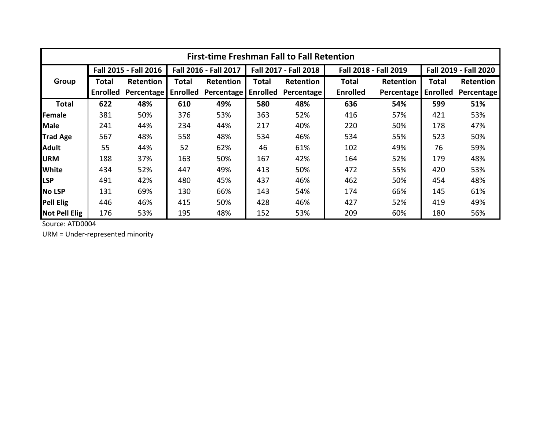| <b>First-time Freshman Fall to Fall Retention</b> |                       |            |                       |            |                       |                   |                       |                  |                       |                  |  |
|---------------------------------------------------|-----------------------|------------|-----------------------|------------|-----------------------|-------------------|-----------------------|------------------|-----------------------|------------------|--|
|                                                   | Fall 2015 - Fall 2016 |            | Fall 2016 - Fall 2017 |            | Fall 2017 - Fall 2018 |                   | Fall 2018 - Fall 2019 |                  | Fall 2019 - Fall 2020 |                  |  |
| <b>Group</b>                                      | Total                 | Retention  | <b>Total</b>          | Retention  | Total                 | Retention         | <b>Total</b>          | <b>Retention</b> | Total                 | <b>Retention</b> |  |
|                                                   | <b>Enrolled</b>       | Percentage | <b>Enrolled</b>       | Percentage | <b>Enrolled</b>       | <b>Percentage</b> | <b>Enrolled</b>       | Percentage       | <b>Enrolled</b>       | Percentage       |  |
| <b>Total</b>                                      | 622                   | 48%        | 610                   | 49%        | 580                   | 48%               | 636                   | 54%              | 599                   | 51%              |  |
| Female                                            | 381                   | 50%        | 376                   | 53%        | 363                   | 52%               | 416                   | 57%              | 421                   | 53%              |  |
| <b>Male</b>                                       | 241                   | 44%        | 234                   | 44%        | 217                   | 40%               | 220                   | 50%              | 178                   | 47%              |  |
| <b>Trad Age</b>                                   | 567                   | 48%        | 558                   | 48%        | 534                   | 46%               | 534                   | 55%              | 523                   | 50%              |  |
| <b>Adult</b>                                      | 55                    | 44%        | 52                    | 62%        | 46                    | 61%               | 102                   | 49%              | 76                    | 59%              |  |
| <b>URM</b>                                        | 188                   | 37%        | 163                   | 50%        | 167                   | 42%               | 164                   | 52%              | 179                   | 48%              |  |
| <b>White</b>                                      | 434                   | 52%        | 447                   | 49%        | 413                   | 50%               | 472                   | 55%              | 420                   | 53%              |  |
| <b>LSP</b>                                        | 491                   | 42%        | 480                   | 45%        | 437                   | 46%               | 462                   | 50%              | 454                   | 48%              |  |
| No LSP                                            | 131                   | 69%        | 130                   | 66%        | 143                   | 54%               | 174                   | 66%              | 145                   | 61%              |  |
| <b>Pell Elig</b>                                  | 446                   | 46%        | 415                   | 50%        | 428                   | 46%               | 427                   | 52%              | 419                   | 49%              |  |
| <b>Not Pell Elig</b>                              | 176                   | 53%        | 195                   | 48%        | 152                   | 53%               | 209                   | 60%              | 180                   | 56%              |  |

Source: ATD0004

URM = Under-represented minority